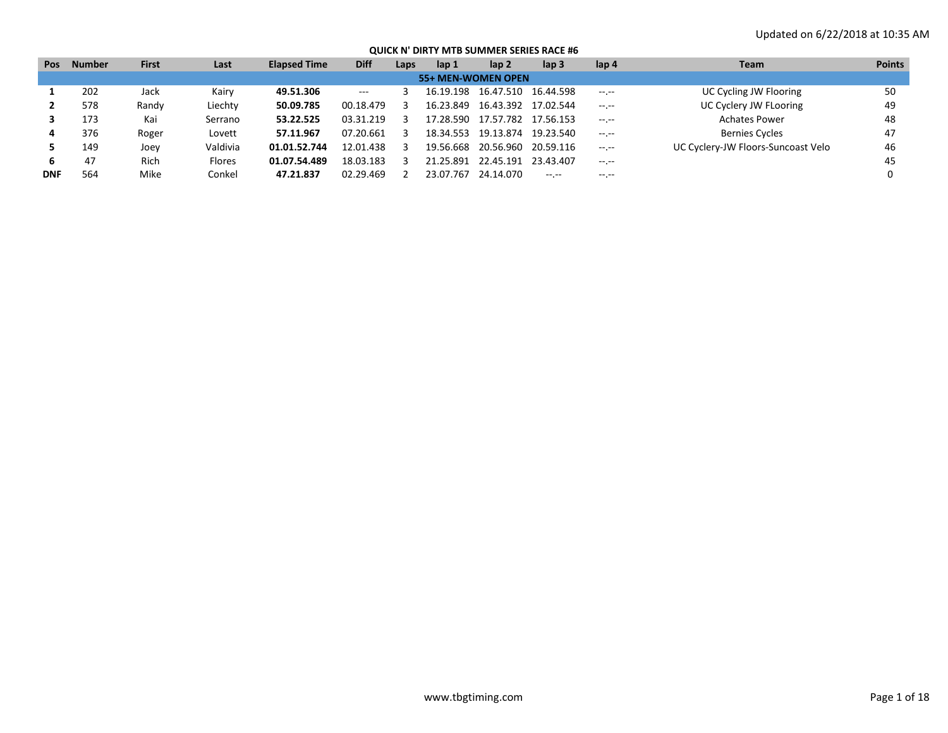| <b>Pos</b>         | <b>Number</b> | <b>First</b> | Last     | <b>Elapsed Time</b> | <b>Diff</b> | Laps | lap 1     | lap 2               | lap <sub>3</sub> | lap 4            | <b>Team</b>                        | <b>Points</b> |  |
|--------------------|---------------|--------------|----------|---------------------|-------------|------|-----------|---------------------|------------------|------------------|------------------------------------|---------------|--|
| 55+ MEN-WOMEN OPEN |               |              |          |                     |             |      |           |                     |                  |                  |                                    |               |  |
|                    | 202           | Jack         | Kairv    | 49.51.306           | $---$       |      | 16.19.198 | 16.47.510           | 16.44.598        | $-1 - 1 - 1 = 0$ | UC Cycling JW Flooring             | 50            |  |
|                    | 578           | Randy        | Liechty  | 50.09.785           | 00.18.479   |      | 16.23.849 | 16.43.392           | 17.02.544        | $-1$ , $-1$      | UC Cyclery JW FLooring             | 49            |  |
|                    | 173           | Kai          | Serrano  | 53.22.525           | 03.31.219   |      | 17.28.590 | 17.57.782 17.56.153 |                  | $-1 - 1 - 1 = 0$ | <b>Achates Power</b>               | 48            |  |
|                    | 376           | Roger        | Lovett   | 57.11.967           | 07.20.661   | -3   | 18.34.553 | 19.13.874           | 19.23.540        | $-1 - 1 - 1 = 0$ | <b>Bernies Cycles</b>              | 47            |  |
|                    | 149           | Joey         | Valdivia | 01.01.52.744        | 12.01.438   |      | 19.56.668 | 20.56.960 20.59.116 |                  | $-1 - 1 - 1 = 0$ | UC Cyclery-JW Floors-Suncoast Velo | 46            |  |
| 6.                 | 47            | Rich         | Flores   | 01.07.54.489        | 18.03.183   |      | 21.25.891 | 22.45.191           | 23.43.407        | $-1 - 1 - 1 = 0$ |                                    | 45            |  |
| <b>DNF</b>         | 564           | Mike         | Conkel   | 47.21.837           | 02.29.469   |      | 23.07.767 | 24.14.070           | $- - - - -$      | $-1 - 1 - 1 = 0$ |                                    |               |  |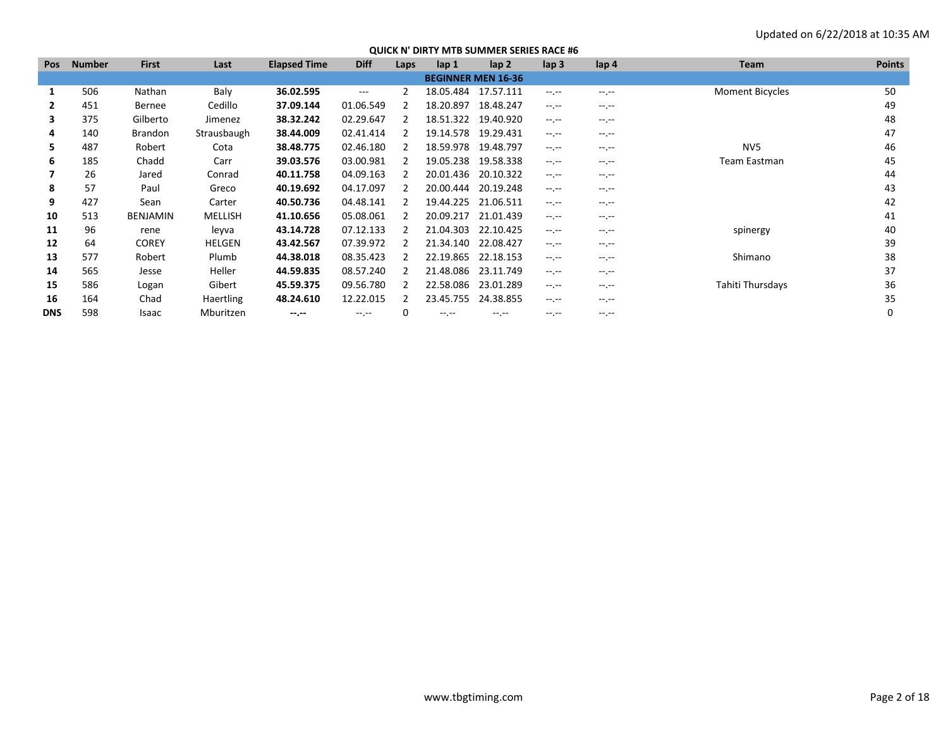| <b>Pos</b>   | <b>Number</b> | <b>First</b>    | Last             | <b>Elapsed Time</b> | <b>Diff</b> | Laps | lap 1     | lap <sub>2</sub>          | lap <sub>3</sub> | lap <sub>4</sub> | <b>Team</b>            | <b>Points</b> |
|--------------|---------------|-----------------|------------------|---------------------|-------------|------|-----------|---------------------------|------------------|------------------|------------------------|---------------|
|              |               |                 |                  |                     |             |      |           | <b>BEGINNER MEN 16-36</b> |                  |                  |                        |               |
| 1            | 506           | Nathan          | Baly             | 36.02.595           | $---$       |      | 18.05.484 | 17.57.111                 | $-1$ , $-1$      | $-1$ .           | <b>Moment Bicycles</b> | 50            |
| $\mathbf{2}$ | 451           | Bernee          | Cedillo          | 37.09.144           | 01.06.549   |      | 18.20.897 | 18.48.247                 | $-1.1 -$         | $-1$             |                        | 49            |
| 3            | 375           | Gilberto        | Jimenez          | 38.32.242           | 02.29.647   |      | 18.51.322 | 19.40.920                 | $-1$ , $-1$      | $-1$             |                        | 48            |
| 4            | 140           | <b>Brandon</b>  | Strausbaugh      | 38.44.009           | 02.41.414   |      | 19.14.578 | 19.29.431                 | $-1$ , $-1$      | $-1$             |                        | 47            |
| 5.           | 487           | Robert          | Cota             | 38.48.775           | 02.46.180   |      | 18.59.978 | 19.48.797                 | $-1.1 -$         | $-1.1 -$         | NV <sub>5</sub>        | 46            |
| 6            | 185           | Chadd           | Carr             | 39.03.576           | 03.00.981   |      | 19.05.238 | 19.58.338                 | $-1.1 -$         | $-1.1 -$         | Team Eastman           | 45            |
|              | 26            | Jared           | Conrad           | 40.11.758           | 04.09.163   |      | 20.01.436 | 20.10.322                 | $-1.1 -$         | $-1$             |                        | 44            |
| 8            | 57            | Paul            | Greco            | 40.19.692           | 04.17.097   |      | 20.00.444 | 20.19.248                 | $-1$ , $-1$      | $-1$             |                        | 43            |
| 9            | 427           | Sean            | Carter           | 40.50.736           | 04.48.141   |      | 19.44.225 | 21.06.511                 | $-1$ , $-1$      | $-1.1 -$         |                        | 42            |
| 10           | 513           | <b>BENJAMIN</b> | MELLISH          | 41.10.656           | 05.08.061   |      | 20.09.217 | 21.01.439                 | $-1.1 -$         | $-1$             |                        | 41            |
| 11           | 96            | rene            | leyva            | 43.14.728           | 07.12.133   |      | 21.04.303 | 22.10.425                 | $-1$ , $-1$      | $-1$             | spinergy               | 40            |
| 12           | 64            | <b>COREY</b>    | <b>HELGEN</b>    | 43.42.567           | 07.39.972   |      | 21.34.140 | 22.08.427                 | $-1$ , $-1$      | $-1$             |                        | 39            |
| 13           | 577           | Robert          | Plumb            | 44.38.018           | 08.35.423   |      | 22.19.865 | 22.18.153                 | $-1$ , $-1$      | $-1$             | Shimano                | 38            |
| 14           | 565           | Jesse           | Heller           | 44.59.835           | 08.57.240   |      | 21.48.086 | 23.11.749                 | $-1$ , $-1$      | $-1$             |                        | 37            |
| 15           | 586           | Logan           | Gibert           | 45.59.375           | 09.56.780   |      | 22.58.086 | 23.01.289                 | $-1$ , $-1$      | $-1.1$           | Tahiti Thursdays       | 36            |
| 16           | 164           | Chad            | <b>Haertling</b> | 48.24.610           | 12.22.015   | 2    | 23.45.755 | 24.38.855                 | $-1$ , $-1$      | $-1.1$           |                        | 35            |
| <b>DNS</b>   | 598           | Isaac           | Mburitzen        | $-1. - 1.$          | $-1$ . $-1$ |      | --.--     | $-1$ . $-1$               | $-1$ , $-1$      | $-1$             |                        |               |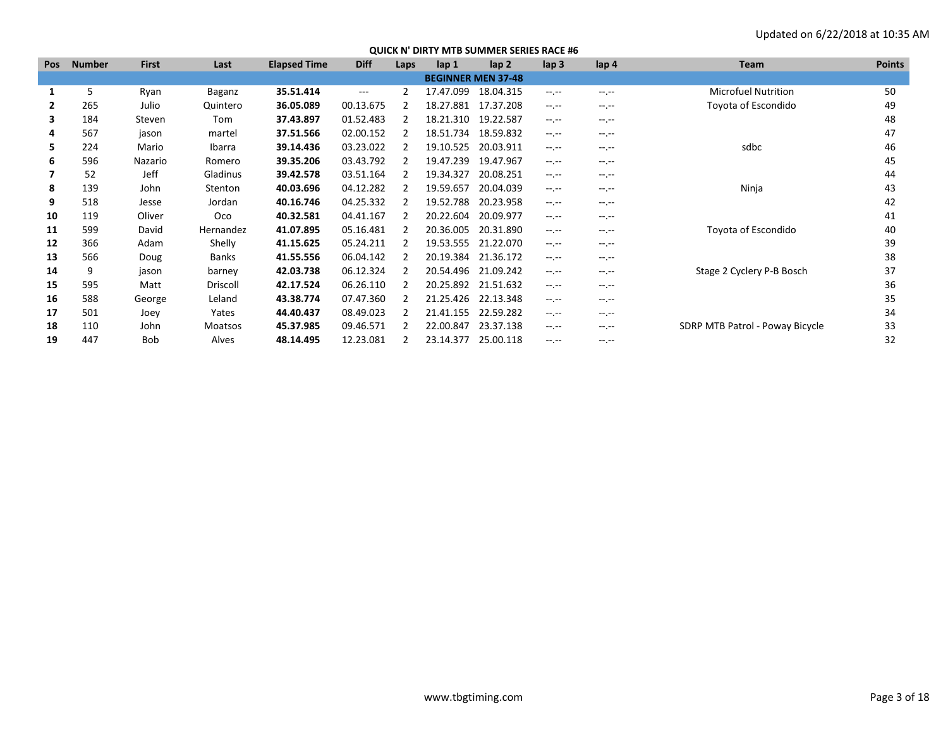| <b>Pos</b>   | Number | <b>First</b> | Last          | <b>Elapsed Time</b> | <b>Diff</b>       | Laps | lap <sub>1</sub> | lap <sub>2</sub>          | lap <sub>3</sub> | lap <sub>4</sub> | <b>Team</b>                     | <b>Points</b> |
|--------------|--------|--------------|---------------|---------------------|-------------------|------|------------------|---------------------------|------------------|------------------|---------------------------------|---------------|
|              |        |              |               |                     |                   |      |                  | <b>BEGINNER MEN 37-48</b> |                  |                  |                                 |               |
|              | 5      | Ryan         | <b>Baganz</b> | 35.51.414           | $\qquad \qquad -$ | 2    | 17.47.099        | 18.04.315                 | $-1.1 -$         | $-1.1 -$         | <b>Microfuel Nutrition</b>      | 50            |
| $\mathbf{2}$ | 265    | Julio        | Quintero      | 36.05.089           | 00.13.675         | 2    | 18.27.881        | 17.37.208                 | $-1.1 -$         | $-1.1$           | Toyota of Escondido             | 49            |
| 3            | 184    | Steven       | Tom           | 37.43.897           | 01.52.483         |      | 18.21.310        | 19.22.587                 | $-1$ , $-1$      | $-1$ .           |                                 | 48            |
| 4            | 567    | jason        | martel        | 37.51.566           | 02.00.152         |      | 18.51.734        | 18.59.832                 | $-1$             | $-1.1 -$         |                                 | 47            |
| 5.           | 224    | Mario        | Ibarra        | 39.14.436           | 03.23.022         |      | 19.10.525        | 20.03.911                 | $-1$ .           | $-1.1 - 1.0$     | sdbc                            | 46            |
| 6            | 596    | Nazario      | Romero        | 39.35.206           | 03.43.792         |      | 19.47.239        | 19.47.967                 | $-1.1 -$         | $-1.1 -$         |                                 | 45            |
|              | 52     | Jeff         | Gladinus      | 39.42.578           | 03.51.164         |      | 19.34.327        | 20.08.251                 | $-1$ .           | $-1$ .           |                                 | 44            |
| 8            | 139    | John         | Stenton       | 40.03.696           | 04.12.282         |      | 19.59.657        | 20.04.039                 | $-1$ .           | $-1.1 -$         | Ninja                           | 43            |
| 9            | 518    | Jesse        | Jordan        | 40.16.746           | 04.25.332         | 2    | 19.52.788        | 20.23.958                 | $-1$ .           | $-1.1 - 1.0$     |                                 | 42            |
| 10           | 119    | Oliver       | Oco           | 40.32.581           | 04.41.167         |      | 20.22.604        | 20.09.977                 | $-1.1 -$         | $-1.1 -$         |                                 | 41            |
| 11           | 599    | David        | Hernandez     | 41.07.895           | 05.16.481         |      | 20.36.005        | 20.31.890                 | $-1.1 -$         | $-1.1 -$         | Toyota of Escondido             | 40            |
| 12           | 366    | Adam         | Shelly        | 41.15.625           | 05.24.211         |      | 19.53.555        | 21.22.070                 | $-1$ .           | $-1$ .           |                                 | 39            |
| 13           | 566    | Doug         | Banks         | 41.55.556           | 06.04.142         | 2    | 20.19.384        | 21.36.172                 | $-1.1 -$         | $-1.1 -$         |                                 | 38            |
| 14           | 9      | jason        | barney        | 42.03.738           | 06.12.324         |      | 20.54.496        | 21.09.242                 | $-1$ .           | $-1.1 -$         | Stage 2 Cyclery P-B Bosch       | 37            |
| 15           | 595    | Matt         | Driscoll      | 42.17.524           | 06.26.110         |      |                  | 20.25.892 21.51.632       | $-1.1 -$         | $-1.1 - 1.0$     |                                 | 36            |
| 16           | 588    | George       | Leland        | 43.38.774           | 07.47.360         |      | 21.25.426        | 22.13.348                 | $-1$ .           | $-1$ .           |                                 | 35            |
| 17           | 501    | Joey         | Yates         | 44.40.437           | 08.49.023         |      | 21.41.155        | 22.59.282                 | $-1$ .           | $-1$ , $-1$      |                                 | 34            |
| 18           | 110    | John         | Moatsos       | 45.37.985           | 09.46.571         |      | 22.00.847        | 23.37.138                 | $-1$ .           | $-1$ .           | SDRP MTB Patrol - Poway Bicycle | 33            |
| 19           | 447    | Bob          | Alves         | 48.14.495           | 12.23.081         |      | 23.14.377        | 25.00.118                 | $-1$ .           | $-1$ .           |                                 | 32            |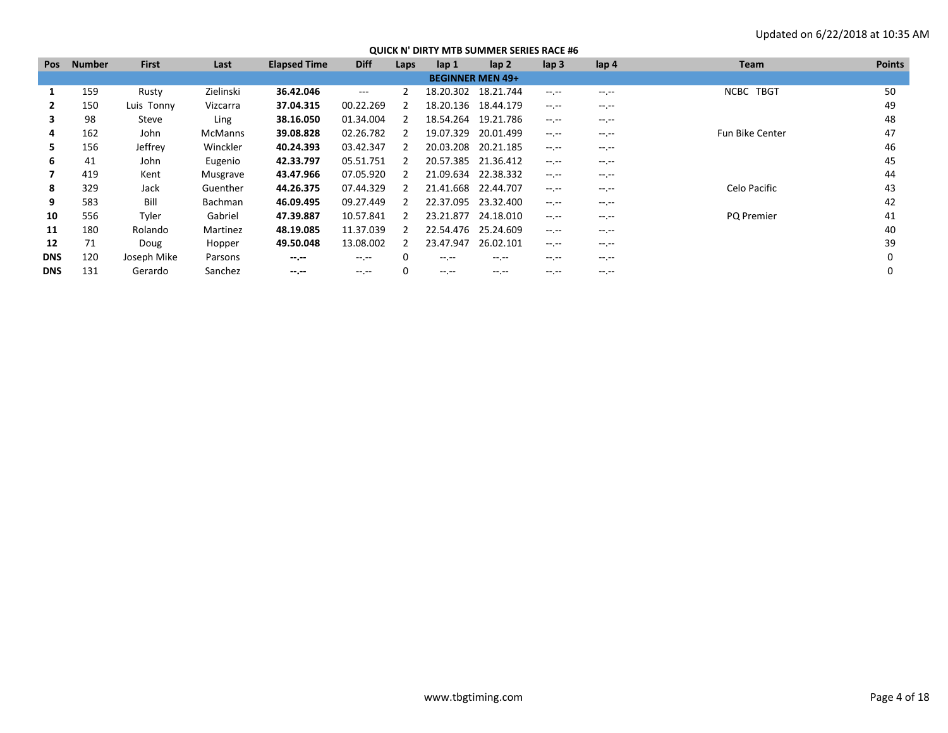| <b>Pos</b>   | <b>Number</b> | <b>First</b> | Last           | <b>Elapsed Time</b> | <b>Diff</b> | Laps         | lap 1            | lap <sub>2</sub>        | lap <sub>3</sub> | lap 4            | <b>Team</b>            | <b>Points</b> |
|--------------|---------------|--------------|----------------|---------------------|-------------|--------------|------------------|-------------------------|------------------|------------------|------------------------|---------------|
|              |               |              |                |                     |             |              |                  | <b>BEGINNER MEN 49+</b> |                  |                  |                        |               |
|              | 159           | Rusty        | Zielinski      | 36.42.046           | $\cdots$    |              | 18.20.302        | 18.21.744               | $-1$ , $-1$      | $-1$             | NCBC TBGT              | 50            |
| $\mathbf{2}$ | 150           | Luis Tonny   | Vizcarra       | 37.04.315           | 00.22.269   |              | 18.20.136        | 18.44.179               | $-1$ , $-1$      | $-1$             |                        | 49            |
| 3            | 98            | Steve        | Ling           | 38.16.050           | 01.34.004   |              | 18.54.264        | 19.21.786               | $-1$ , $-1$      | $-1.1$           |                        | 48            |
| 4            | 162           | John         | <b>McManns</b> | 39.08.828           | 02.26.782   |              | 19.07.329        | 20.01.499               | $-1$ , $-1$      | $-1$             | <b>Fun Bike Center</b> | 47            |
| 5.           | 156           | Jeffrey      | Winckler       | 40.24.393           | 03.42.347   |              | 20.03.208        | 20.21.185               | $-1$ , $-1$      | $-1.1$           |                        | 46            |
| 6            | 41            | John         | Eugenio        | 42.33.797           | 05.51.751   |              | 20.57.385        | 21.36.412               | $-1$ , $-1$      | $-1$             |                        | 45            |
|              | 419           | Kent         | Musgrave       | 43.47.966           | 07.05.920   |              | 21.09.634        | 22.38.332               | $-1$ , $-1$      | $-1.1$           |                        | 44            |
| 8            | 329           | Jack         | Guenther       | 44.26.375           | 07.44.329   |              | 21.41.668        | 22.44.707               | $-1$ , $-1$      | $-1$             | Celo Pacific           | 43            |
| 9            | 583           | Bill         | Bachman        | 46.09.495           | 09.27.449   |              | 22.37.095        | 23.32.400               | $-1$ , $-1$      | $-1.1$           |                        | 42            |
| 10           | 556           | Tyler        | Gabriel        | 47.39.887           | 10.57.841   |              | 23.21.877        | 24.18.010               | $-1$ , $-1$      | $-1 - 1 - 1 = 0$ | PQ Premier             | 41            |
| 11           | 180           | Rolando      | Martinez       | 48.19.085           | 11.37.039   |              | 22.54.476        | 25.24.609               | $-1$ , $-1$      | $-1$             |                        | 40            |
| 12           | 71            | Doug         | Hopper         | 49.50.048           | 13.08.002   | 2            | 23.47.947        | 26.02.101               | $-1$ , $-1$      | $-1$             |                        | 39            |
| <b>DNS</b>   | 120           | Joseph Mike  | Parsons        | $- - - - -$         | $-1$ , $-1$ | <sup>0</sup> | $-1$ .           | $-1$ . $-1$             | $-1$ , $-1$      | $-1$             |                        |               |
| <b>DNS</b>   | 131           | Gerardo      | Sanchez        | $- - - - -$         | $-1$ .      |              | $-1 - 1 - 1 = 0$ | $-1$ . $-1$             | $-1.1 - 1.0$     | $-1 - 1 - 1 = 0$ |                        |               |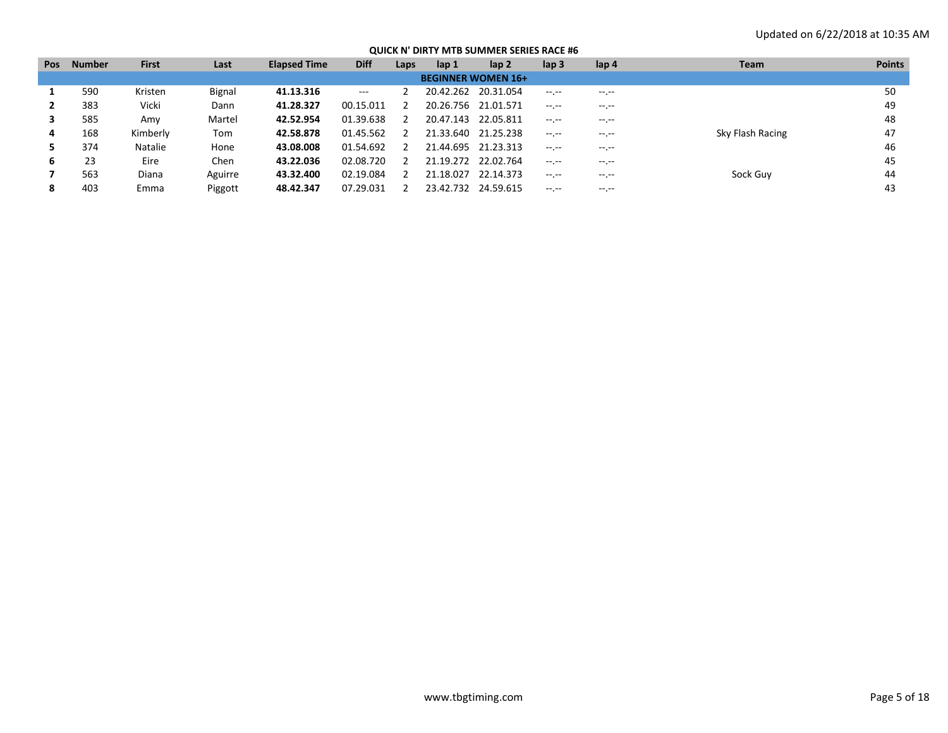| QUICK N' DIRTY MTB SUMMER SERIES RACE #6 |  |
|------------------------------------------|--|
|------------------------------------------|--|

| <b>Pos</b> | <b>Number</b> | <b>First</b> | Last          | <b>Elapsed Time</b> | <b>Diff</b> | Laps | lap 1     | lap <sub>2</sub>          | lap <sub>3</sub> | lap 4       | <b>Team</b>      | <b>Points</b> |
|------------|---------------|--------------|---------------|---------------------|-------------|------|-----------|---------------------------|------------------|-------------|------------------|---------------|
|            |               |              |               |                     |             |      |           | <b>BEGINNER WOMEN 16+</b> |                  |             |                  |               |
|            | 590           | Kristen      | <b>Bignal</b> | 41.13.316           | $\cdots$    |      | 20.42.262 | 20.31.054                 | $-1$ , $-1$      | $-1.1$      |                  | 50            |
|            | 383           | Vicki        | Dann          | 41.28.327           | 00.15.011   |      | 20.26.756 | 21.01.571                 | $-1$ , $-1$      | $-1.1$      |                  | 49            |
| 3          | 585           | Amy          | Martel        | 42.52.954           | 01.39.638   | 2    | 20.47.143 | 22.05.811                 | $-1 - 1 - 1 = 0$ | $- - - - -$ |                  | 48            |
| 4          | 168           | Kimberly     | Tom           | 42.58.878           | 01.45.562   |      | 21.33.640 | 21.25.238                 | $-1$ , $-1$      | $-1.1$      | Sky Flash Racing | 47            |
|            | 374           | Natalie      | Hone          | 43.08.008           | 01.54.692   |      | 21.44.695 | 21.23.313                 | $-1.1$           | $- - - - -$ |                  | 46            |
| 6          | 23            | Eire         | Chen          | 43.22.036           | 02.08.720   |      | 21.19.272 | 22.02.764                 | $-1$ , $-1$      | $- - - - -$ |                  | 45            |
|            | 563           | Diana        | Aguirre       | 43.32.400           | 02.19.084   |      | 21.18.027 | 22.14.373                 | $-1$ , $-1$      | $-1.1$      | Sock Guy         | 44            |
| 8          | 403           | Emma         | Piggott       | 48.42.347           | 07.29.031   |      | 23.42.732 | 24.59.615                 | $-1$ , $-1$      | $-1.1$      |                  | 43            |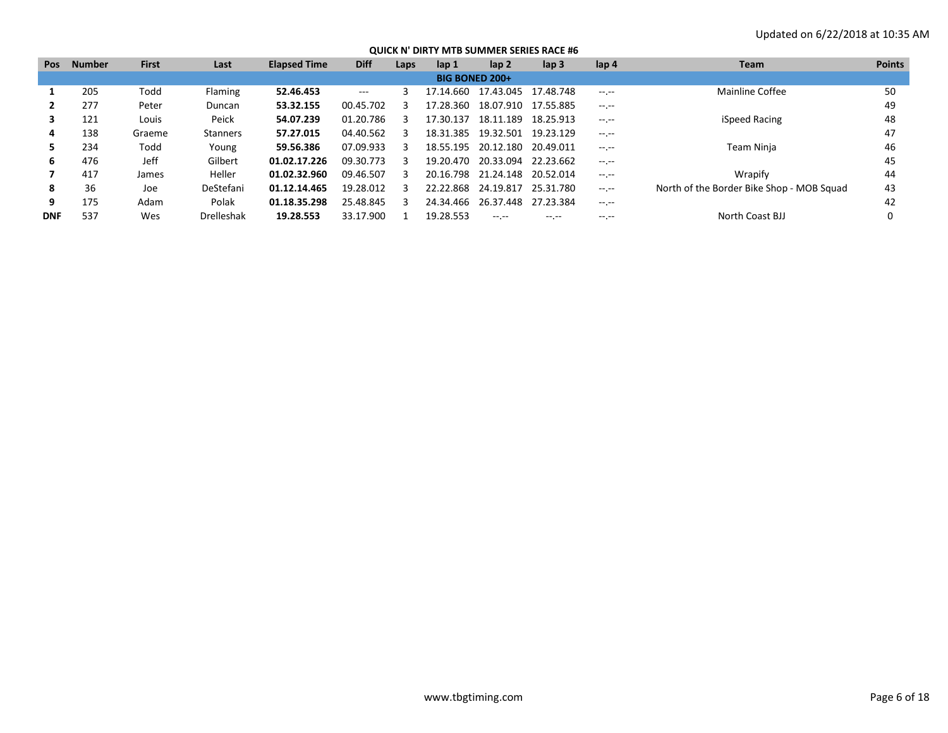| <b>Pos</b>            | <b>Number</b> | <b>First</b> | Last            | <b>Elapsed Time</b> | <b>Diff</b> | Laps | lap 1     | lap <sub>2</sub>    | $\mathsf{lap} 3$ | lap <sub>4</sub> | <b>Team</b>                               | <b>Points</b> |  |
|-----------------------|---------------|--------------|-----------------|---------------------|-------------|------|-----------|---------------------|------------------|------------------|-------------------------------------------|---------------|--|
| <b>BIG BONED 200+</b> |               |              |                 |                     |             |      |           |                     |                  |                  |                                           |               |  |
|                       | 205           | Todd         | <b>Flaming</b>  | 52.46.453           | $---$       |      | 17.14.660 | 17.43.045           | 17.48.748        | $-1 - 1 - 1 = 0$ | Mainline Coffee                           | 50            |  |
|                       | 277           | Peter        | Duncan          | 53.32.155           | 00.45.702   |      | 17.28.360 | 18.07.910           | 17.55.885        | $-1$ , $-1$      |                                           | 49            |  |
|                       | 121           | Louis        | Peick           | 54.07.239           | 01.20.786   |      | 17.30.137 | 18.11.189           | 18.25.913        | $-1$ , $-1$      | iSpeed Racing                             | 48            |  |
| 4                     | 138           | Graeme       | <b>Stanners</b> | 57.27.015           | 04.40.562   |      | 18.31.385 | 19.32.501           | 19.23.129        | $-1.1$           |                                           | 47            |  |
|                       | 234           | Todd         | Young           | 59.56.386           | 07.09.933   |      | 18.55.195 | 20.12.180 20.49.011 |                  | $-1$ , $-1$      | Team Ninja                                | 46            |  |
| 6                     | 476           | Jeff         | Gilbert         | 01.02.17.226        | 09.30.773   |      | 19.20.470 | 20.33.094           | 22.23.662        | $-1$ , $-1$      |                                           | 45            |  |
|                       | 417           | James        | Heller          | 01.02.32.960        | 09.46.507   | з    | 20.16.798 | 21.24.148           | 20.52.014        | $-1$ , $-1$      | Wrapify                                   | 44            |  |
| 8                     | 36            | Joe          | DeStefani       | 01.12.14.465        | 19.28.012   |      | 22.22.868 | 24.19.817           | 25.31.780        | $-1 - 1 - 1 = 0$ | North of the Border Bike Shop - MOB Squad | 43            |  |
| 9                     | 175           | Adam         | Polak           | 01.18.35.298        | 25.48.845   |      | 24.34.466 | 26.37.448           | 27.23.384        | $-1$ , $-1$      |                                           | 42            |  |
| <b>DNF</b>            | 537           | Wes          | Drelleshak      | 19.28.553           | 33.17.900   |      | 19.28.553 |                     |                  | $\cdots$         | North Coast BJJ                           |               |  |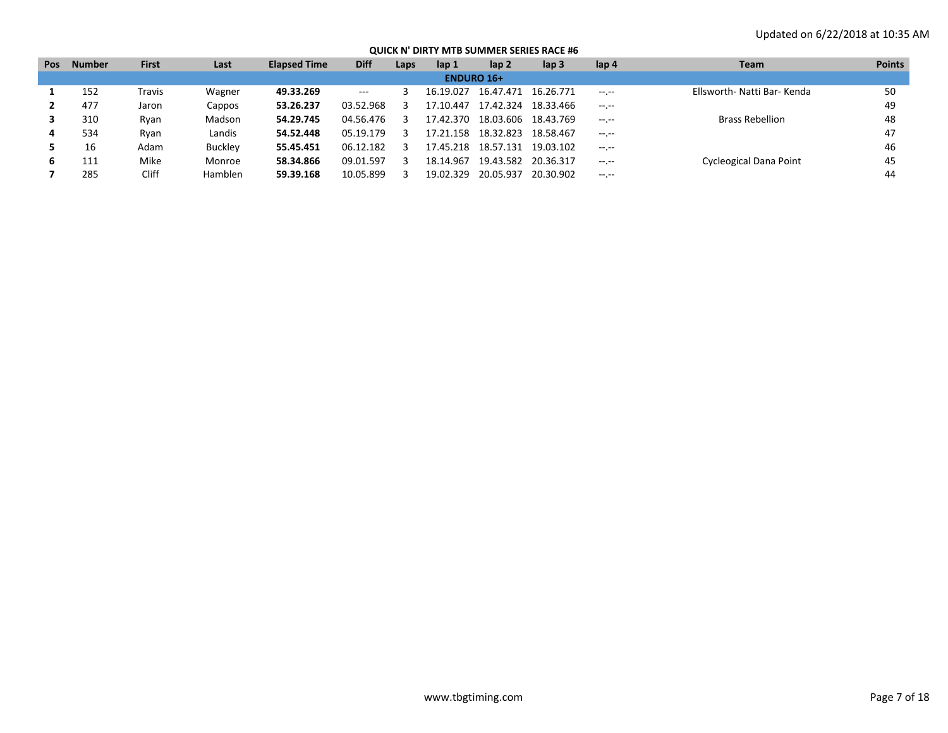| <b>Pos</b> | Number            | <b>First</b> | Last    | <b>Elapsed Time</b> | <b>Diff</b> | Laps | lap 1         | lap 2               | lap 3     | lap 4            | <b>Team</b>                   | <b>Points</b> |  |  |
|------------|-------------------|--------------|---------|---------------------|-------------|------|---------------|---------------------|-----------|------------------|-------------------------------|---------------|--|--|
|            | <b>ENDURO 16+</b> |              |         |                     |             |      |               |                     |           |                  |                               |               |  |  |
|            | 152               | Fravis       | Wagner  | 49.33.269           | $  -$       |      | 16.19.027     | 16.47.471           | 16.26.771 | $-1 - 1 - 1 = 0$ | Ellsworth- Natti Bar- Kenda   | 50            |  |  |
|            | 477               | Jaron        | Cappos  | 53.26.237           | 03.52.968   |      | 17.10.447     | 17.42.324           | 18.33.466 | $-1$ , $-1$      |                               | 49            |  |  |
|            | 310               | Ryan         | Madson  | 54.29.745           | 04.56.476   |      | 17.42.370     | 18.03.606 18.43.769 |           | $-1 - 1 - 1 = 0$ | <b>Brass Rebellion</b>        | 48            |  |  |
| 4          | 534               | Ryan         | Landis  | 54.52.448           | 05.19.179   |      | .158<br>17.21 | 18.32.823           | 18.58.467 | $-1 - 1 - 1 = 0$ |                               | 47            |  |  |
|            | 16                | Adam         | Buckley | 55.45.451           | 06.12.182   |      | 17.45.218     | 18.57.131           | 19.03.102 | $-1 - 1 - 1 = 0$ |                               | 46            |  |  |
| ь          | 111               | Mike         | Monroe  | 58.34.866           | 09.01.597   |      | 18.14.967     | 19.43.582           | 20.36.317 | $-1$ , $-1$      | <b>Cycleogical Dana Point</b> | 45            |  |  |
|            | 285               | Cliff        | Hamblen | 59.39.168           | 10.05.899   |      | 19.02.329     | 20.05.937           | 20.30.902 | $-1 - 1 - 1 = 0$ |                               | 44            |  |  |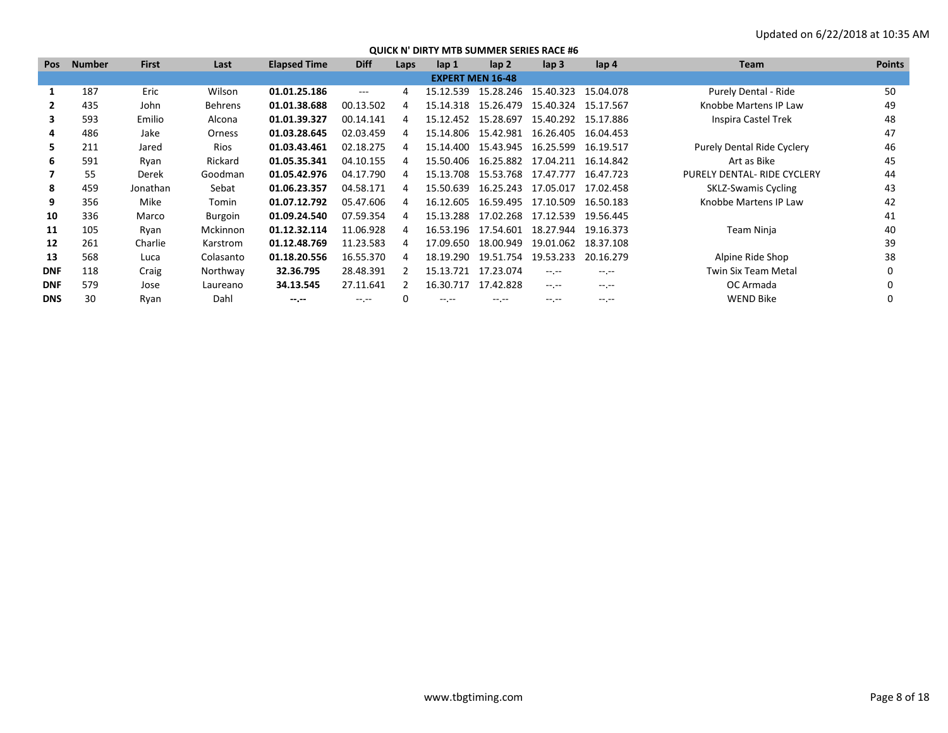| <b>Pos</b> | <b>Number</b> | <b>First</b> | Last            | <b>Elapsed Time</b> | <b>Diff</b> | Laps | lap 1                   | $\mathsf{lap} 2$ | $\mathsf{lap} 3$    | lap <sub>4</sub> | <b>Team</b>                       | <b>Points</b> |
|------------|---------------|--------------|-----------------|---------------------|-------------|------|-------------------------|------------------|---------------------|------------------|-----------------------------------|---------------|
|            |               |              |                 |                     |             |      | <b>EXPERT MEN 16-48</b> |                  |                     |                  |                                   |               |
|            | 187           | Eric         | Wilson          | 01.01.25.186        | $---$       | 4    | 15.12.539               | 15.28.246        | 15.40.323           | 15.04.078        | Purely Dental - Ride              | 50            |
| 2          | 435           | John         | <b>Behrens</b>  | 01.01.38.688        | 00.13.502   | 4    | 15.14.318               | 15.26.479        | 15.40.324           | 15.17.567        | Knobbe Martens IP Law             | 49            |
| 3          | 593           | Emilio       | Alcona          | 01.01.39.327        | 00.14.141   | Д    | 15.12.452               | 15.28.697        | 15.40.292           | 15.17.886        | Inspira Castel Trek               | 48            |
| 4          | 486           | Jake         | Orness          | 01.03.28.645        | 02.03.459   | 4    | 15.14.806               | 15.42.981        | 16.26.405           | 16.04.453        |                                   | 47            |
| 5.         | 211           | Jared        | Rios            | 01.03.43.461        | 02.18.275   | 4    | 15.14.400               | 15.43.945        | 16.25.599           | 16.19.517        | <b>Purely Dental Ride Cyclery</b> | 46            |
| 6          | 591           | Ryan         | Rickard         | 01.05.35.341        | 04.10.155   | 4    | 15.50.406               |                  | 16.25.882 17.04.211 | 16.14.842        | Art as Bike                       | 45            |
|            | 55            | Derek        | Goodman         | 01.05.42.976        | 04.17.790   | 4    | 15.13.708               |                  | 15.53.768 17.47.777 | 16.47.723        | PURELY DENTAL- RIDE CYCLERY       | 44            |
| 8          | 459           | Jonathan     | Sebat           | 01.06.23.357        | 04.58.171   | 4    | 15.50.639               | 16.25.243        | 17.05.017           | 17.02.458        | <b>SKLZ-Swamis Cycling</b>        | 43            |
| 9          | 356           | Mike         | Tomin           | 01.07.12.792        | 05.47.606   | 4    | 16.12.605               | 16.59.495        | 17.10.509           | 16.50.183        | Knobbe Martens IP Law             | 42            |
| 10         | 336           | Marco        | Burgoin         | 01.09.24.540        | 07.59.354   | 4    | 15.13.288               | 17.02.268        | 17.12.539           | 19.56.445        |                                   | 41            |
| 11         | 105           | Ryan         | <b>Mckinnon</b> | 01.12.32.114        | 11.06.928   | 4    | 16.53.196               | 17.54.601        | 18.27.944           | 19.16.373        | Team Ninja                        | 40            |
| 12         | 261           | Charlie      | Karstrom        | 01.12.48.769        | 11.23.583   | 4    | 17.09.650               | 18.00.949        | 19.01.062           | 18.37.108        |                                   | 39            |
| 13         | 568           | Luca         | Colasanto       | 01.18.20.556        | 16.55.370   | 4    | 18.19.290               | 19.51.754        | 19.53.233           | 20.16.279        | Alpine Ride Shop                  | 38            |
| <b>DNF</b> | 118           | Craig        | Northway        | 32.36.795           | 28.48.391   |      | 15.13.721               | 17.23.074        | $-1$ .              | $-1$ .           | Twin Six Team Metal               |               |
| <b>DNF</b> | 579           | Jose         | Laureano        | 34.13.545           | 27.11.641   | 2    | 16.30.717               | 17.42.828        | $-1$                | $-1$ . $-1$      | OC Armada                         |               |
| <b>DNS</b> | 30            | Ryan         | Dahl            | $-1. - -$           | -- --       |      |                         |                  | $-1$ . $-1$         | $-1$ .           | <b>WEND Bike</b>                  |               |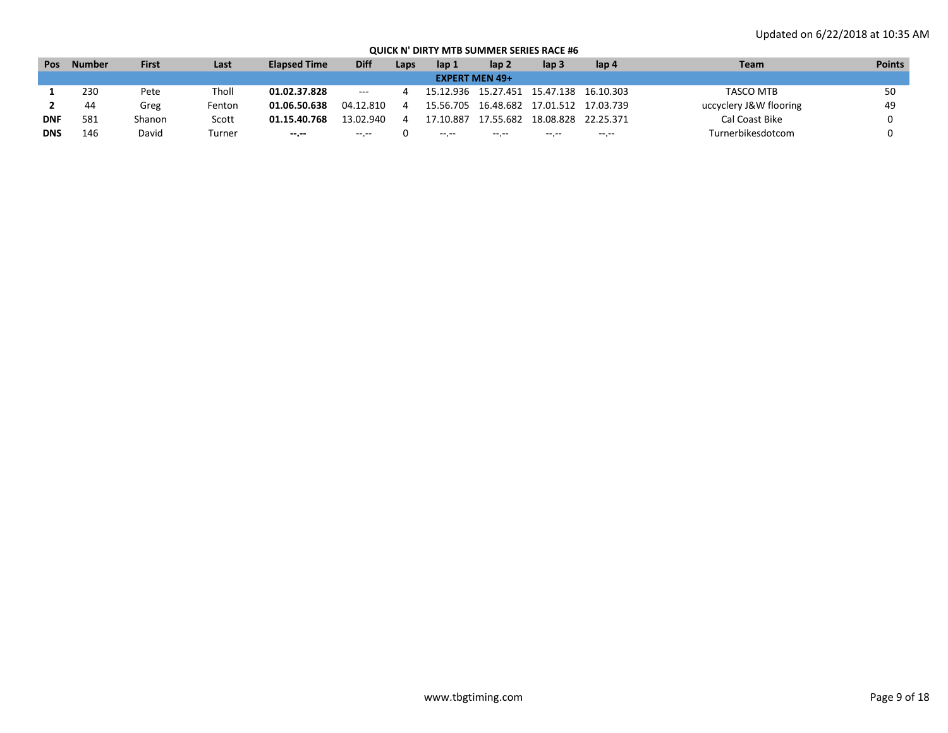| Pos        | <b>Number</b> | <b>First</b> | Last   | <b>Elapsed Time</b> | <b>Diff</b> | Laps | lap 1     | lap 2                 | lap 3                           | lap 4     | Team                   | <b>Points</b> |
|------------|---------------|--------------|--------|---------------------|-------------|------|-----------|-----------------------|---------------------------------|-----------|------------------------|---------------|
|            |               |              |        |                     |             |      |           | <b>EXPERT MEN 49+</b> |                                 |           |                        |               |
|            | 230           | Pete         | Tholl  | 01.02.37.828        | $- - -$     |      | 15.12.936 | 15.27.451             | 15.47.138                       | 16.10.303 | TASCO MTB              | 50            |
|            | 44            | Greg         | Fenton | 01.06.50.638        | 04.12.810   |      | 15.56.705 |                       | 16.48.682  17.01.512  17.03.739 |           | uccyclery J&W flooring | 49            |
| <b>DNF</b> | 581           | Shanon       | Scott  | 01.15.40.768        | 13.02.940   |      | 7.10.887  | 17.55.682             | 18.08.828                       | 22.25.371 | Cal Coast Bike         |               |
| <b>DNS</b> | 146           | David        | Turner | $- - - - -$         | -- --       |      | $\cdots$  | $\cdots$              | $\cdots$                        | -- --     | Turnerbikesdotcom      |               |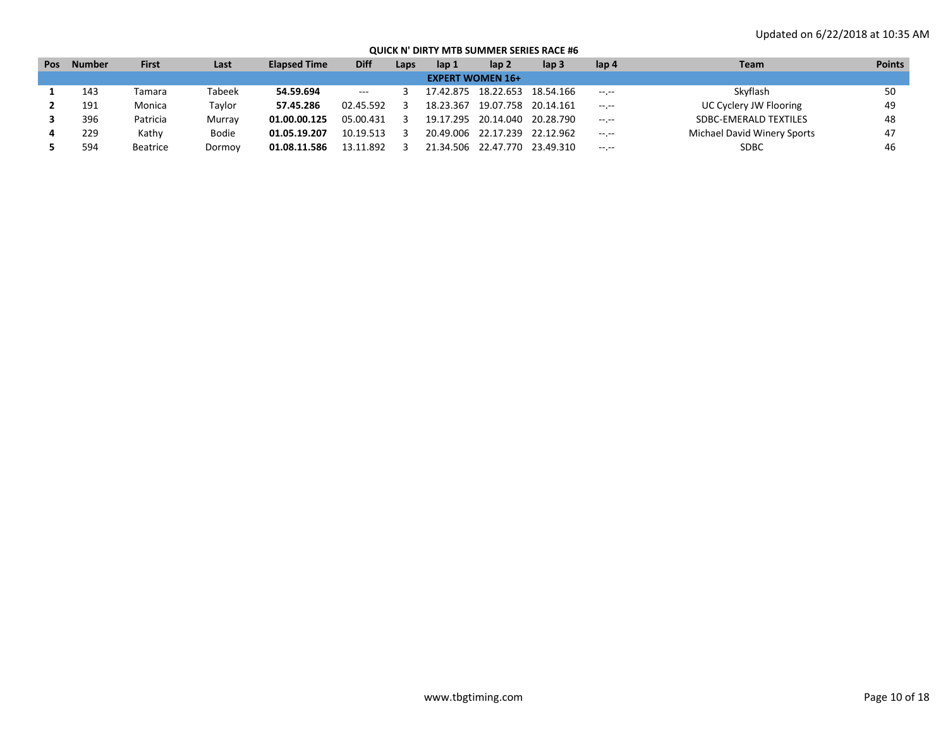| Pos | <b>Number</b> | <b>First</b> | Last   | <b>Elapsed Time</b> | <b>Diff</b>           | Laps | lap 1     | lap 2                         | lap 3               | lap 4            | Team                         | <b>Points</b> |
|-----|---------------|--------------|--------|---------------------|-----------------------|------|-----------|-------------------------------|---------------------|------------------|------------------------------|---------------|
|     |               |              |        |                     |                       |      |           | <b>EXPERT WOMEN 16+</b>       |                     |                  |                              |               |
|     | 143           | Tamara       | Tabeek | 54.59.694           | $\scriptstyle \cdots$ |      | 17.42.875 |                               | 18.22.653 18.54.166 | $-1$ , $-1$      | Skyflash                     | 50            |
|     | 191           | Monica       | Tavlor | 57.45.286           | 02.45.592             |      | 18.23.367 | 19.07.758 20.14.161           |                     | $-1 - 1 - 1 = 0$ | UC Cyclery JW Flooring       | 49            |
|     | 396           | Patricia     | Murray | 01.00.00.125        | 05.00.431             |      |           | 19.17.295 20.14.040 20.28.790 |                     | $-1 - 1 - 1 = 0$ | <b>SDBC-EMERALD TEXTILES</b> | 48            |
|     | 229           | Kathv        | Bodie  | 01.05.19.207        | 10.19.513             |      | 20.49.006 | 22.17.239 22.12.962           |                     | $-1 - 1 - 1 = 0$ | Michael David Winery Sports  | 47            |
|     | 594           | Beatrice     | Dormoy | 01.08.11.586        | 13.11.892             |      |           | 21.34.506 22.47.770           | 23.49.310           | $-1$ , $-1$      | <b>SDBC</b>                  | 46            |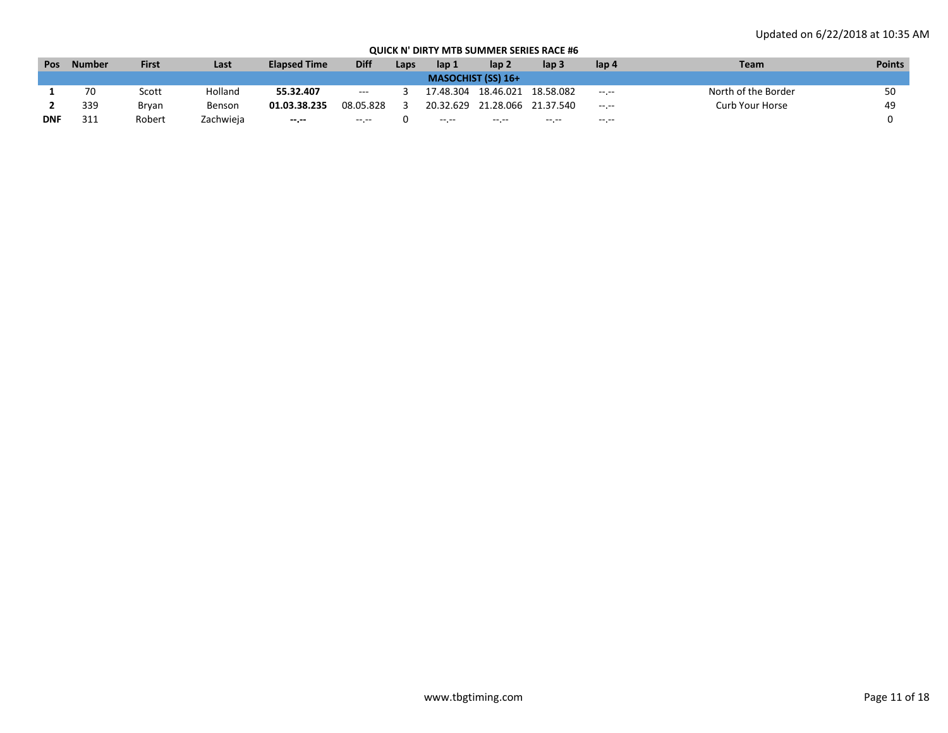| <b>Pos</b> | <b>Number</b> | <b>First</b> | Last      | <b>Elapsed Time</b> | <b>Diff</b>              | Laps | lap 1     | lap 2                     | lap 3       | lap 4            | Team                | <b>Points</b> |
|------------|---------------|--------------|-----------|---------------------|--------------------------|------|-----------|---------------------------|-------------|------------------|---------------------|---------------|
|            |               |              |           |                     |                          |      |           | <b>MASOCHIST (SS) 16+</b> |             |                  |                     |               |
|            | 70            | Scott        | Holland   | 55.32.407           | $\hspace{0.05cm} \ldots$ |      | 17.48.304 | 18.46.021                 | 18.58.082   | $-1.1$           | North of the Border | 50            |
|            | 339           | Bryan        | Benson    | 01.03.38.235        | 08.05.828                |      | 20.32.629 | 21.28.066                 | 21.37.540   | $-1.1 - 1.0$     | Curb Your Horse     | 49            |
| <b>DNF</b> | 311           | Robert       | Zachwieja | $- - - - -$         | $-10.1 - 10.0$           |      | $----$    | --.-                      | $- - - - -$ | $-1 - 1 - 1 = 0$ |                     |               |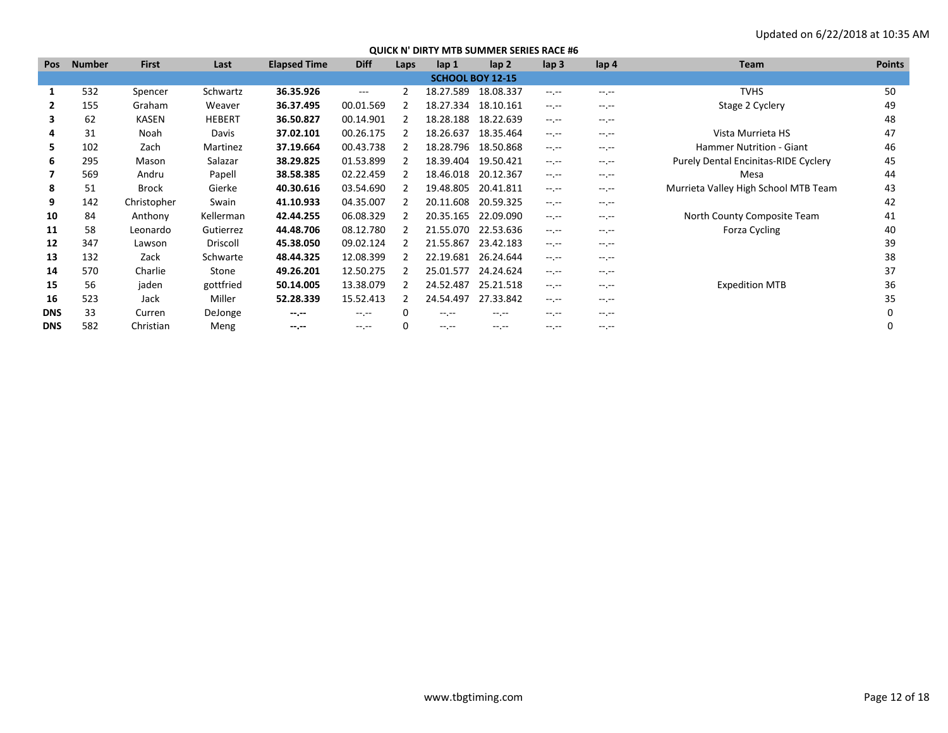| <b>Pos</b> | <b>Number</b> | <b>First</b> | Last          | <b>Elapsed Time</b> | <b>Diff</b> | Laps | lap 1                   | lap <sub>2</sub> | lap <sub>3</sub> | lap <sub>4</sub> | <b>Team</b>                                 | <b>Points</b> |
|------------|---------------|--------------|---------------|---------------------|-------------|------|-------------------------|------------------|------------------|------------------|---------------------------------------------|---------------|
|            |               |              |               |                     |             |      | <b>SCHOOL BOY 12-15</b> |                  |                  |                  |                                             |               |
|            | 532           | Spencer      | Schwartz      | 36.35.926           | $---$       |      | 18.27.589               | 18.08.337        | $-1.1 -$         | $-1$ .           | <b>TVHS</b>                                 | 50            |
| 2          | 155           | Graham       | Weaver        | 36.37.495           | 00.01.569   | 2    | 18.27.334               | 18.10.161        | $-1$ , $-1$      | $-1$ , $-1$      | Stage 2 Cyclery                             | 49            |
| 3          | 62            | KASEN        | <b>HEBERT</b> | 36.50.827           | 00.14.901   |      | 18.28.188               | 18.22.639        | $-1$ , $-1$      | $-1$ , $-1$      |                                             | 48            |
| 4          | 31            | Noah         | Davis         | 37.02.101           | 00.26.175   | 2    | 18.26.637               | 18.35.464        | $-1$ , $-1$      | $-1$ .           | Vista Murrieta HS                           | 47            |
| 5.         | 102           | Zach         | Martinez      | 37.19.664           | 00.43.738   |      | 18.28.796               | 18.50.868        | $-1$ , $-1$      | $-1$ .           | <b>Hammer Nutrition - Giant</b>             | 46            |
| 6          | 295           | Mason        | Salazar       | 38.29.825           | 01.53.899   |      | 18.39.404               | 19.50.421        | $-1$ .           | $-1.1$           | <b>Purely Dental Encinitas-RIDE Cyclery</b> | 45            |
| 7          | 569           | Andru        | Papell        | 38.58.385           | 02.22.459   |      | 18.46.018               | 20.12.367        | $-1, -1$         | $-1$ , $-1$      | Mesa                                        | 44            |
| 8          | 51            | <b>Brock</b> | Gierke        | 40.30.616           | 03.54.690   | 2    | 19.48.805               | 20.41.811        | $-1$ , $-1$      | $-1$ .           | Murrieta Valley High School MTB Team        | 43            |
| 9          | 142           | Christopher  | Swain         | 41.10.933           | 04.35.007   |      | 20.11.608               | 20.59.325        | $-1, -1$         | $-1$ . $-1$      |                                             | 42            |
| 10         | 84            | Anthony      | Kellerman     | 42.44.255           | 06.08.329   |      | 20.35.165               | 22.09.090        | $-1, -1$         | $-1$             | North County Composite Team                 | 41            |
| 11         | 58            | Leonardo     | Gutierrez     | 44.48.706           | 08.12.780   |      | 21.55.070               | 22.53.636        | $-1, -1$         | $-1 - 1 - 1 = 0$ | Forza Cycling                               | 40            |
| 12         | 347           | Lawson       | Driscoll      | 45.38.050           | 09.02.124   |      | 21.55.867               | 23.42.183        | $-1$ , $-1$      | $-1$ .           |                                             | 39            |
| 13         | 132           | Zack         | Schwarte      | 48.44.325           | 12.08.399   |      | 22.19.681               | 26.24.644        | $-1$ .           | $-1.1$           |                                             | 38            |
| 14         | 570           | Charlie      | Stone         | 49.26.201           | 12.50.275   |      | 25.01.577               | 24.24.624        | $-1, -1$         | $-1$ , $-1$      |                                             | 37            |
| 15         | 56            | jaden        | gottfried     | 50.14.005           | 13.38.079   | 2    | 24.52.487               | 25.21.518        | $-1, -1$         | $-1$ .           | <b>Expedition MTB</b>                       | 36            |
| 16         | 523           | Jack         | Miller        | 52.28.339           | 15.52.413   | 2    | 24.54.497               | 27.33.842        | $-1$ , $-1$      | $-1$ . $-1$      |                                             | 35            |
| <b>DNS</b> | 33            | Curren       | DeJonge       | --.--               | $-1$ , $-1$ |      | $-1$ , $-1$             | $-1$ , $-1$      | $-1.1 -$         | $-1$ . $-1$      |                                             | O             |
| <b>DNS</b> | 582           | Christian    | Meng          | $-1 - 1 - 1 = 0$    | $-1$ , $-1$ | 0    | $-1.1 - 1.0$            | $-1.1$           | $-1$ , $-1$      | $-1$ .           |                                             | 0             |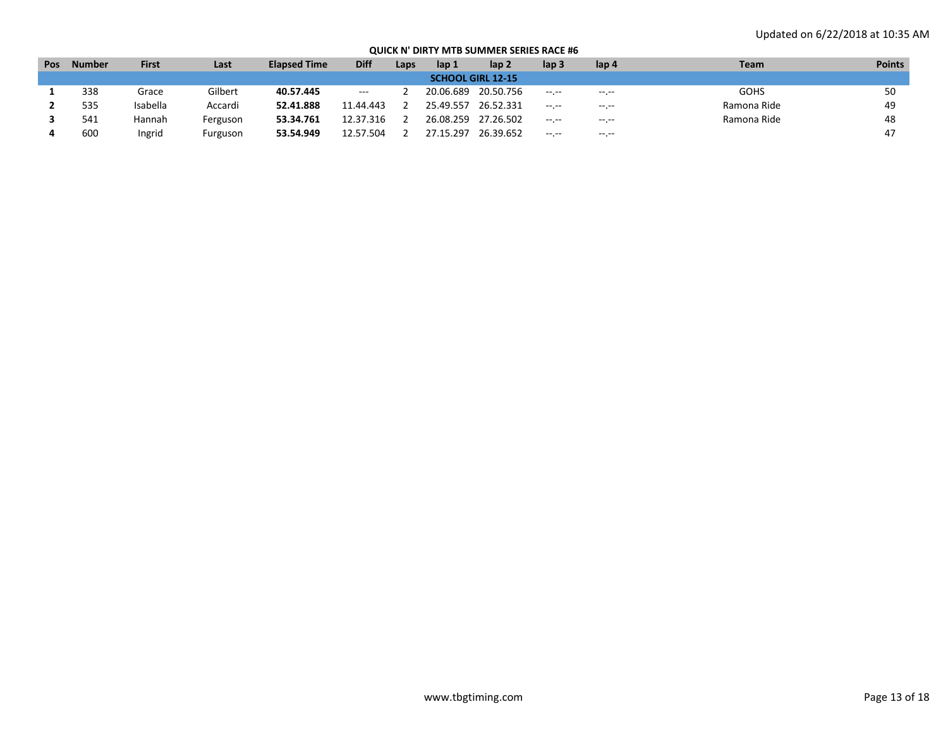| <b>Pos</b> | <b>Number</b> | <b>First</b> | Last     | <b>Elapsed Time</b> | <b>Diff</b>                              | Laps | lap 1     | lap 2                    | lap 3       | lap 4            | <b>Team</b> | <b>Points</b> |
|------------|---------------|--------------|----------|---------------------|------------------------------------------|------|-----------|--------------------------|-------------|------------------|-------------|---------------|
|            |               |              |          |                     |                                          |      |           | <b>SCHOOL GIRL 12-15</b> |             |                  |             |               |
|            | 338           | Grace        | Gilbert  | 40.57.445           | $\hspace{0.05cm} \ldots \hspace{0.05cm}$ |      | 20.06.689 | 20.50.756                | $-1$ , $-1$ | $- - - - -$      | <b>GOHS</b> | 50            |
|            | 535           | Isabella     | Accardi  | 52.41.888           | 11.44.443                                |      | 25.49.557 | 26.52.331                | $-1.1 -$    | $-1 - 1 - 1 = 0$ | Ramona Ride | 49            |
|            | 541           | Hannah       | Ferguson | 53.34.761           | 12.37.316                                |      | 26.08.259 | 27.26.502                | $- - - - -$ | $-1 - 1 - 1 = 0$ | Ramona Ride | 48            |
|            | 600           | Ingrid       | Furguson | 53.54.949           | 12.57.504                                |      | 27.15.297 | 26.39.652                | $- - - - -$ | $\cdots$         |             |               |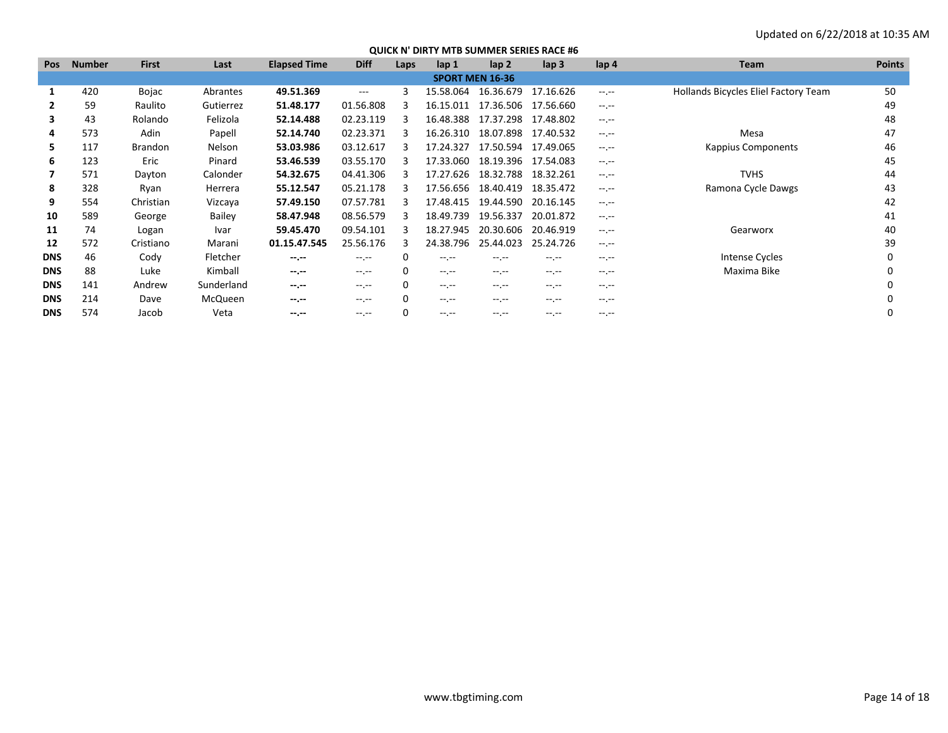| <b>Pos</b> | <b>Number</b> | <b>First</b>   | Last       | <b>Elapsed Time</b> | <b>Diff</b>                                                                                                                                                                                                                                                                                                                                                                                  | Laps | lap <sub>1</sub> | lap <sub>2</sub>       | lap <sub>3</sub> | lap <sub>4</sub> | Team                                 | <b>Points</b> |
|------------|---------------|----------------|------------|---------------------|----------------------------------------------------------------------------------------------------------------------------------------------------------------------------------------------------------------------------------------------------------------------------------------------------------------------------------------------------------------------------------------------|------|------------------|------------------------|------------------|------------------|--------------------------------------|---------------|
|            |               |                |            |                     |                                                                                                                                                                                                                                                                                                                                                                                              |      |                  | <b>SPORT MEN 16-36</b> |                  |                  |                                      |               |
| 1          | 420           | Bojac          | Abrantes   | 49.51.369           | $---$                                                                                                                                                                                                                                                                                                                                                                                        | 3    | 15.58.064        | 16.36.679              | 17.16.626        | $-1$ , $-1$      | Hollands Bicycles Eliel Factory Team | 50            |
| 2          | 59            | Raulito        | Gutierrez  | 51.48.177           | 01.56.808                                                                                                                                                                                                                                                                                                                                                                                    | 3    | 16.15.011        | 17.36.506              | 17.56.660        | $-1$ , $-1$      |                                      | 49            |
| 3          | 43            | Rolando        | Felizola   | 52.14.488           | 02.23.119                                                                                                                                                                                                                                                                                                                                                                                    | 3    | 16.48.388        | 17.37.298              | 17.48.802        | $-1 - 1 - 1 = 0$ |                                      | 48            |
| 4          | 573           | Adin           | Papell     | 52.14.740           | 02.23.371                                                                                                                                                                                                                                                                                                                                                                                    | з    | 16.26.310        | 18.07.898              | 17.40.532        | $-1$ , $-1$      | Mesa                                 | 47            |
| 5.         | 117           | <b>Brandon</b> | Nelson     | 53.03.986           | 03.12.617                                                                                                                                                                                                                                                                                                                                                                                    | 3    | 17.24.327        | 17.50.594              | 17.49.065        | $-1$ , $-1$      | <b>Kappius Components</b>            | 46            |
| 6          | 123           | Eric           | Pinard     | 53.46.539           | 03.55.170                                                                                                                                                                                                                                                                                                                                                                                    | 3    | 17.33.060        | 18.19.396              | 17.54.083        | $-1$             |                                      | 45            |
|            | 571           | Dayton         | Calonder   | 54.32.675           | 04.41.306                                                                                                                                                                                                                                                                                                                                                                                    | з    | 17.27.626        | 18.32.788              | 18.32.261        | $-1$ , $-1$      | <b>TVHS</b>                          | 44            |
| 8          | 328           | Ryan           | Herrera    | 55.12.547           | 05.21.178                                                                                                                                                                                                                                                                                                                                                                                    | 3    | 17.56.656        | 18.40.419              | 18.35.472        | $-1$ , $-1$      | Ramona Cycle Dawgs                   | 43            |
| 9          | 554           | Christian      | Vizcaya    | 57.49.150           | 07.57.781                                                                                                                                                                                                                                                                                                                                                                                    |      | 17.48.415        | 19.44.590              | 20.16.145        | $-1.1$           |                                      | 42            |
| 10         | 589           | George         | Bailey     | 58.47.948           | 08.56.579                                                                                                                                                                                                                                                                                                                                                                                    | з    | 18.49.739        | 19.56.337              | 20.01.872        | $-1$ , $-1$      |                                      | 41            |
| 11         | 74            | Logan          | Ivar       | 59.45.470           | 09.54.101                                                                                                                                                                                                                                                                                                                                                                                    |      | 18.27.945        | 20.30.606              | 20.46.919        | $-1$ , $-1$      | Gearworx                             | 40            |
| 12         | 572           | Cristiano      | Marani     | 01.15.47.545        | 25.56.176                                                                                                                                                                                                                                                                                                                                                                                    | 3    | 24.38.796        | 25.44.023              | 25.24.726        | $-1$ .           |                                      | 39            |
| <b>DNS</b> | 46            | Cody           | Fletcher   | $-1$                | $-1$ , $-1$                                                                                                                                                                                                                                                                                                                                                                                  | 0    | $-1.1$           | $-1$                   | $-1.1 -$         | $-1.1$           | Intense Cycles                       | $\Omega$      |
| <b>DNS</b> | 88            | Luke           | Kimball    | $-1$                | $-1$ , $-1$                                                                                                                                                                                                                                                                                                                                                                                  | 0    | $-1.1$           | $-1$ , $-1$            | $-1.1 -$         | $-1$ , $-1$      | Maxima Bike                          | O             |
| <b>DNS</b> | 141           | Andrew         | Sunderland | $-1 - 1 - 1 = 0$    | $-1$ , $-1$                                                                                                                                                                                                                                                                                                                                                                                  | 0    | $-1$ , $-1$      | $-1$ , $-1$            | $-1$ , $-1$      | $-1$ , $-1$      |                                      | O             |
| <b>DNS</b> | 214           | Dave           | McQueen    | $-1 - 1 - 1 = 0$    | $-1$ , $-1$                                                                                                                                                                                                                                                                                                                                                                                  | 0    | $- - - - -$      | $-1$ , $-1$            | $-1$ .           | $-1$ , $-1$      |                                      |               |
| <b>DNS</b> | 574           | Jacob          | Veta       | $-1 - 1 - 1 = 0$    | $\frac{1}{2} \frac{1}{2} \frac{1}{2} \frac{1}{2} \frac{1}{2} \frac{1}{2} \frac{1}{2} \frac{1}{2} \frac{1}{2} \frac{1}{2} \frac{1}{2} \frac{1}{2} \frac{1}{2} \frac{1}{2} \frac{1}{2} \frac{1}{2} \frac{1}{2} \frac{1}{2} \frac{1}{2} \frac{1}{2} \frac{1}{2} \frac{1}{2} \frac{1}{2} \frac{1}{2} \frac{1}{2} \frac{1}{2} \frac{1}{2} \frac{1}{2} \frac{1}{2} \frac{1}{2} \frac{1}{2} \frac{$ | 0    | $---$            | -- --                  | -- --            | $-1$ , $-1$      |                                      |               |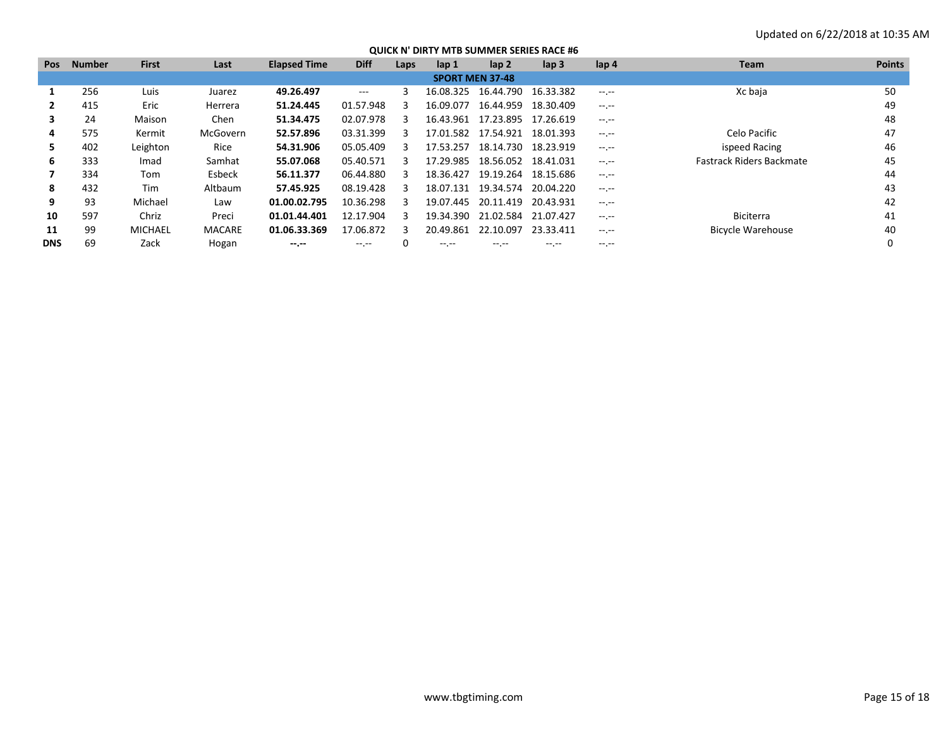| <b>Pos</b> | <b>Number</b> | <b>First</b>   | Last          | <b>Elapsed Time</b> | <b>Diff</b> | Laps | lap 1                  | lap 2                           | lap <sub>3</sub> | lap 4              | Team                            | <b>Points</b> |
|------------|---------------|----------------|---------------|---------------------|-------------|------|------------------------|---------------------------------|------------------|--------------------|---------------------------------|---------------|
|            |               |                |               |                     |             |      | <b>SPORT MEN 37-48</b> |                                 |                  |                    |                                 |               |
|            | 256           | Luis           | Juarez        | 49.26.497           | $---$       |      | 16.08.325              | 16.44.790                       | 16.33.382        | $-1$ , $-1$        | Xc baja                         | 50            |
|            | 415           | Eric           | Herrera       | 51.24.445           | 01.57.948   |      | 16.09.077              | 16.44.959                       | 18.30.409        | $-1$ .             |                                 | 49            |
| 3          | 24            | Maison         | Chen          | 51.34.475           | 02.07.978   | з    | 16.43.961              | 17.23.895                       | 17.26.619        | $-2.2 - 1.2 - 1.2$ |                                 | 48            |
| 4          | 575           | Kermit         | McGovern      | 52.57.896           | 03.31.399   | з    |                        | 17.01.582  17.54.921  18.01.393 |                  | $-1$ , $-1$        | Celo Pacific                    | 47            |
| 5.         | 402           | Leighton       | Rice          | 54.31.906           | 05.05.409   |      | 17.53.257              | 18.14.730                       | 18.23.919        | --.--              | ispeed Racing                   | 46            |
| 6          | 333           | Imad           | Samhat        | 55.07.068           | 05.40.571   | з    | 17.29.985              | 18.56.052 18.41.031             |                  | $-1$ .             | <b>Fastrack Riders Backmate</b> | 45            |
|            | 334           | Tom            | Esbeck        | 56.11.377           | 06.44.880   | з    | 18.36.427              | 19.19.264 18.15.686             |                  | $-2.2 - 1.2 - 1.2$ |                                 | 44            |
| 8          | 432           | Tim            | Altbaum       | 57.45.925           | 08.19.428   | з    | 18.07.131              | 19.34.574 20.04.220             |                  | $-1$ , $-1$        |                                 | 43            |
| 9          | 93            | Michael        | Law           | 01.00.02.795        | 10.36.298   | з    | 19.07.445              | 20.11.419                       | 20.43.931        | --.--              |                                 | 42            |
| 10         | 597           | Chriz          | Preci         | 01.01.44.401        | 12.17.904   | з    | 19.34.390              | 21.02.584 21.07.427             |                  | $-1$ .             | <b>Biciterra</b>                | 41            |
| 11         | 99            | <b>MICHAEL</b> | <b>MACARE</b> | 01.06.33.369        | 17.06.872   | 3    | 20.49.861              | 22.10.097                       | 23.33.411        | $-1$ , $-1$        | <b>Bicycle Warehouse</b>        | 40            |
| <b>DNS</b> | 69            | Zack           | Hogan         | $-1. - -$           |             |      | $- - - -$              | -- --                           | -- --            | -- --              |                                 |               |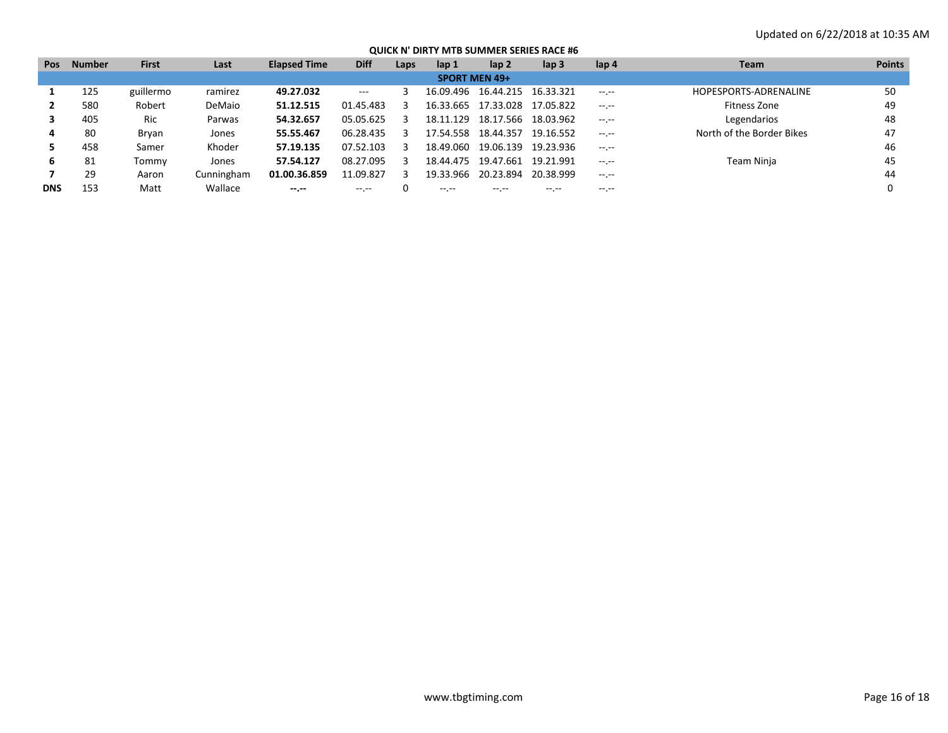| <b>Pos</b> | <b>Number</b> | <b>First</b> | Last       | <b>Elapsed Time</b> | <b>Diff</b> | Laps | lap 1                | lap <sub>2</sub>    | $\mathsf{lap} 3$ | lap 4            | <b>Team</b>               | <b>Points</b> |
|------------|---------------|--------------|------------|---------------------|-------------|------|----------------------|---------------------|------------------|------------------|---------------------------|---------------|
|            |               |              |            |                     |             |      | <b>SPORT MEN 49+</b> |                     |                  |                  |                           |               |
|            | 125           | guillermo    | ramirez    | 49.27.032           | $---$       |      | 16.09.496            | 16.44.215 16.33.321 |                  | $-1 - 1 - 1 = 0$ | HOPESPORTS-ADRENALINE     | 50            |
|            | 580           | Robert       | DeMaio     | 51.12.515           | 01.45.483   |      | 16.33.665            | 17.33.028           | 17.05.822        | $-1 - 1 - 1 = 0$ | Fitness Zone              | 49            |
|            | 405           | Ric          | Parwas     | 54.32.657           | 05.05.625   | ╶╕   | 18.11.129            | 18.17.566           | 18.03.962        | $-1 - 1 - 1 = 0$ | Legendarios               | 48            |
|            | 80            | Bryan        | Jones      | 55.55.467           | 06.28.435   |      | 17.54.558            | 18.44.357           | 19.16.552        | $-1 - 1 - 1 = 0$ | North of the Border Bikes | 47            |
|            | 458           | Samer        | Khoder     | 57.19.135           | 07.52.103   |      | 18.49.060            | 19.06.139           | 19.23.936        | $-1 - 1 - 1 = 0$ |                           | 46            |
| 6          | -81           | Tommv        | Jones      | 57.54.127           | 08.27.095   |      | 18.44.475            | 19.47.661           | 19.21.991        | $-1 - 1 - 1 = 0$ | Team Ninja                | 45            |
|            | 29            | Aaron        | Cunningham | 01.00.36.859        | 11.09.827   | 3    | 19.33.966            | 20.23.894           | 20.38.999        | $-1$ , $-1$      |                           | 44            |
| <b>DNS</b> | 153           | Matt         | Wallace    | $-1 - 1 - 1 = 0$    | -- --       |      | $- - - -$            | -- --               | $- - - - -$      | $- - - - -$      |                           |               |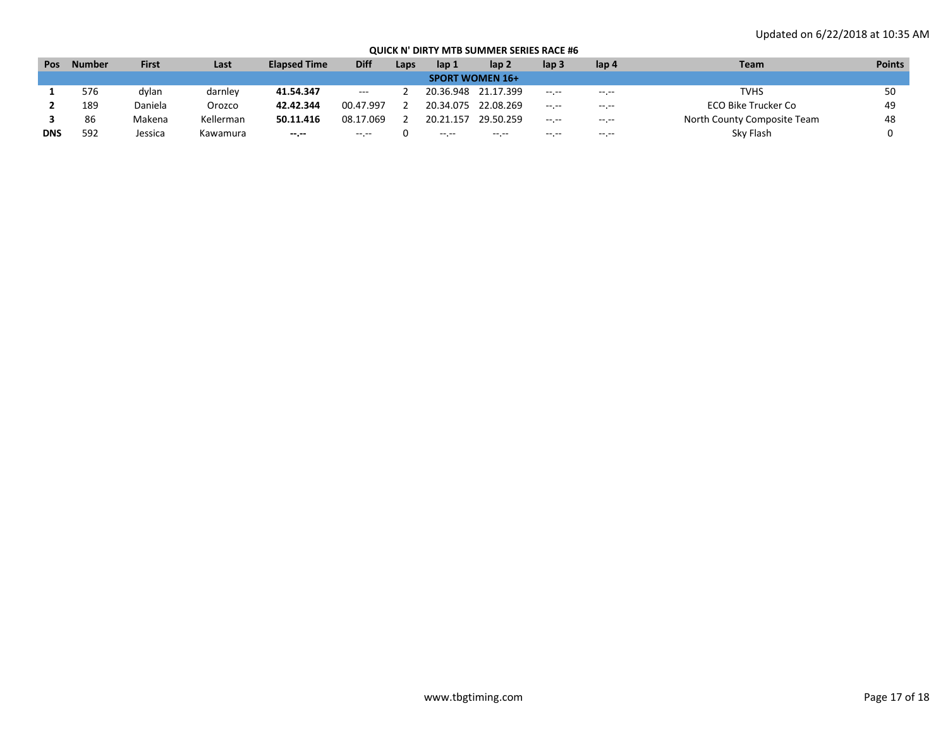| Pos        | <b>Number</b> | <b>First</b> | Last      | <b>Elapsed Time</b> | <b>Diff</b>              | Laps | lap 1     | lap 2                  | lap 3        | lap 4            | Team                        | <b>Points</b> |
|------------|---------------|--------------|-----------|---------------------|--------------------------|------|-----------|------------------------|--------------|------------------|-----------------------------|---------------|
|            |               |              |           |                     |                          |      |           | <b>SPORT WOMEN 16+</b> |              |                  |                             |               |
|            | 576           | dylan        | darnley   | 41.54.347           | $\hspace{0.05cm} \ldots$ |      | 20.36.948 | 21.17.399              | $-1$ , $-1$  | $-1 - 1 - 1 = 0$ | <b>TVHS</b>                 | 50            |
|            | 189           | Daniela      | Orozco    | 42.42.344           | 00.47.997                |      | 20.34.075 | 22.08.269              | $-1.1 - 1.0$ | $-1 - 1 - 1 = 0$ | ECO Bike Trucker Co         | 49            |
|            | 86            | Makena       | Kellerman | 50.11.416           | 08.17.069                |      | 20.21.157 | 29.50.259              | $- - - - -$  | $-1 - 1 - 1 = 0$ | North County Composite Team | 48            |
| <b>DNS</b> | 592           | lessica      | Kawamura  | --.--               | $\cdots$                 |      | $\cdots$  | $\cdots$               | -- --        | $\cdots$         | Sky Flash                   |               |